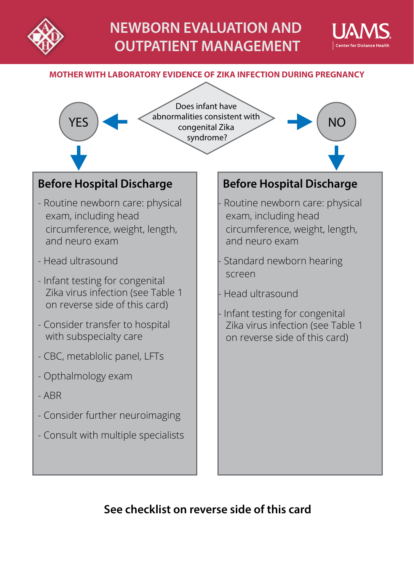



#### **MOTHER WITH LABORATORY EVIDENCE OF ZIKA INFECTION DURING PREGNANCY**



# **See checklist on reverse side of this card**